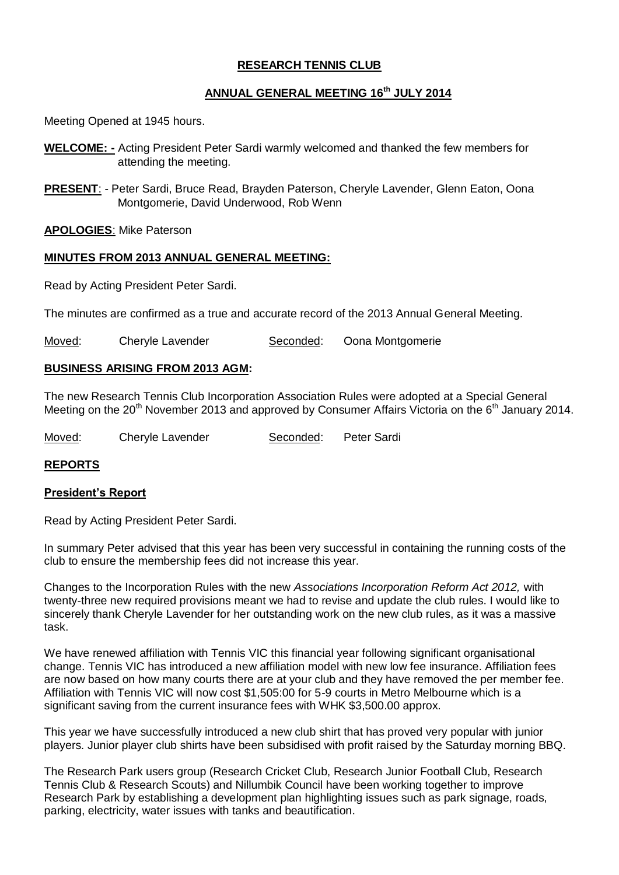### **RESEARCH TENNIS CLUB**

### **ANNUAL GENERAL MEETING 16th JULY 2014**

Meeting Opened at 1945 hours.

- **WELCOME: -** Acting President Peter Sardi warmly welcomed and thanked the few members for attending the meeting.
- **PRESENT**: Peter Sardi, Bruce Read, Brayden Paterson, Cheryle Lavender, Glenn Eaton, Oona Montgomerie, David Underwood, Rob Wenn

**APOLOGIES**: Mike Paterson

#### **MINUTES FROM 2013 ANNUAL GENERAL MEETING:**

Read by Acting President Peter Sardi.

The minutes are confirmed as a true and accurate record of the 2013 Annual General Meeting.

Moved: Cheryle Lavender Seconded: Oona Montgomerie

#### **BUSINESS ARISING FROM 2013 AGM:**

The new Research Tennis Club Incorporation Association Rules were adopted at a Special General Meeting on the  $20<sup>th</sup>$  November 2013 and approved by Consumer Affairs Victoria on the  $6<sup>th</sup>$  January 2014.

Moved: Cheryle Lavender Seconded: Peter Sardi

#### **REPORTS**

#### **President's Report**

Read by Acting President Peter Sardi.

In summary Peter advised that this year has been very successful in containing the running costs of the club to ensure the membership fees did not increase this year.

Changes to the Incorporation Rules with the new *Associations Incorporation Reform Act 2012,* with twenty-three new required provisions meant we had to revise and update the club rules. I would like to sincerely thank Cheryle Lavender for her outstanding work on the new club rules, as it was a massive task.

We have renewed affiliation with Tennis VIC this financial year following significant organisational change. Tennis VIC has introduced a new affiliation model with new low fee insurance. Affiliation fees are now based on how many courts there are at your club and they have removed the per member fee. Affiliation with Tennis VIC will now cost \$1,505:00 for 5-9 courts in Metro Melbourne which is a significant saving from the current insurance fees with WHK \$3,500.00 approx.

This year we have successfully introduced a new club shirt that has proved very popular with junior players. Junior player club shirts have been subsidised with profit raised by the Saturday morning BBQ.

The Research Park users group (Research Cricket Club, Research Junior Football Club, Research Tennis Club & Research Scouts) and Nillumbik Council have been working together to improve Research Park by establishing a development plan highlighting issues such as park signage, roads, parking, electricity, water issues with tanks and beautification.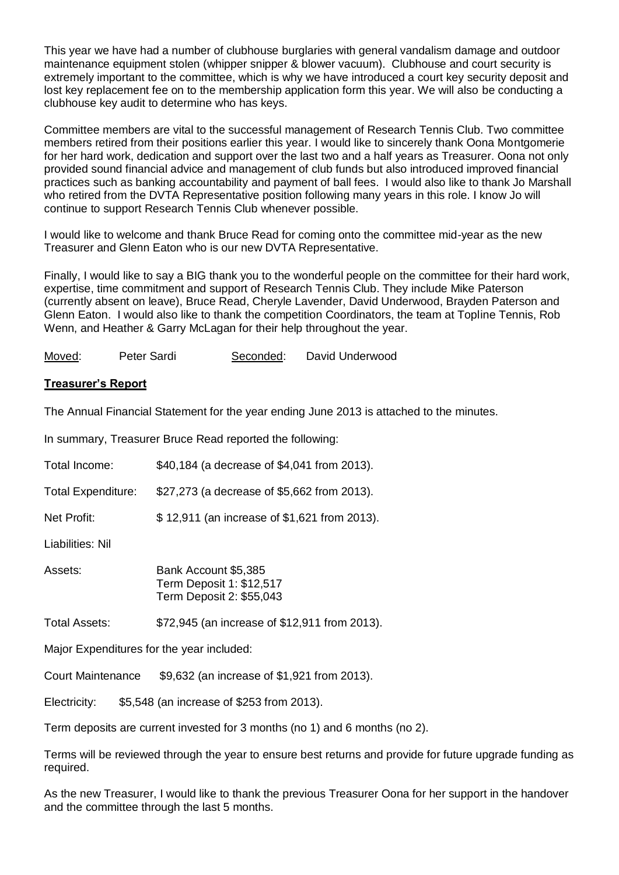This year we have had a number of clubhouse burglaries with general vandalism damage and outdoor maintenance equipment stolen (whipper snipper & blower vacuum). Clubhouse and court security is extremely important to the committee, which is why we have introduced a court key security deposit and lost key replacement fee on to the membership application form this year. We will also be conducting a clubhouse key audit to determine who has keys.

Committee members are vital to the successful management of Research Tennis Club. Two committee members retired from their positions earlier this year. I would like to sincerely thank Oona Montgomerie for her hard work, dedication and support over the last two and a half years as Treasurer. Oona not only provided sound financial advice and management of club funds but also introduced improved financial practices such as banking accountability and payment of ball fees. I would also like to thank Jo Marshall who retired from the DVTA Representative position following many years in this role. I know Jo will continue to support Research Tennis Club whenever possible.

I would like to welcome and thank Bruce Read for coming onto the committee mid-year as the new Treasurer and Glenn Eaton who is our new DVTA Representative.

Finally, I would like to say a BIG thank you to the wonderful people on the committee for their hard work, expertise, time commitment and support of Research Tennis Club. They include Mike Paterson (currently absent on leave), Bruce Read, Cheryle Lavender, David Underwood, Brayden Paterson and Glenn Eaton. I would also like to thank the competition Coordinators, the team at Topline Tennis, Rob Wenn, and Heather & Garry McLagan for their help throughout the year.

Moved: Peter Sardi Seconded: David Underwood

#### **Treasurer's Report**

The Annual Financial Statement for the year ending June 2013 is attached to the minutes.

In summary, Treasurer Bruce Read reported the following:

| Total Income:                                                               | \$40,184 (a decrease of \$4,041 from 2013).                                  |  |  |
|-----------------------------------------------------------------------------|------------------------------------------------------------------------------|--|--|
| <b>Total Expenditure:</b>                                                   | \$27,273 (a decrease of \$5,662 from 2013).                                  |  |  |
| Net Profit:                                                                 | \$12,911 (an increase of \$1,621 from 2013).                                 |  |  |
| Liabilities: Nil                                                            |                                                                              |  |  |
| Assets:                                                                     | Bank Account \$5,385<br>Term Deposit 1: \$12,517<br>Term Deposit 2: \$55,043 |  |  |
| <b>Total Assets:</b>                                                        | \$72,945 (an increase of \$12,911 from 2013).                                |  |  |
| Major Expenditures for the year included:                                   |                                                                              |  |  |
| <b>Court Maintenance</b>                                                    | \$9,632 (an increase of \$1,921 from 2013).                                  |  |  |
| Electricity:                                                                | \$5,548 (an increase of \$253 from 2013).                                    |  |  |
| Term deposits are current invested for 3 months (no 1) and 6 months (no 2). |                                                                              |  |  |

Terms will be reviewed through the year to ensure best returns and provide for future upgrade funding as required.

As the new Treasurer, I would like to thank the previous Treasurer Oona for her support in the handover and the committee through the last 5 months.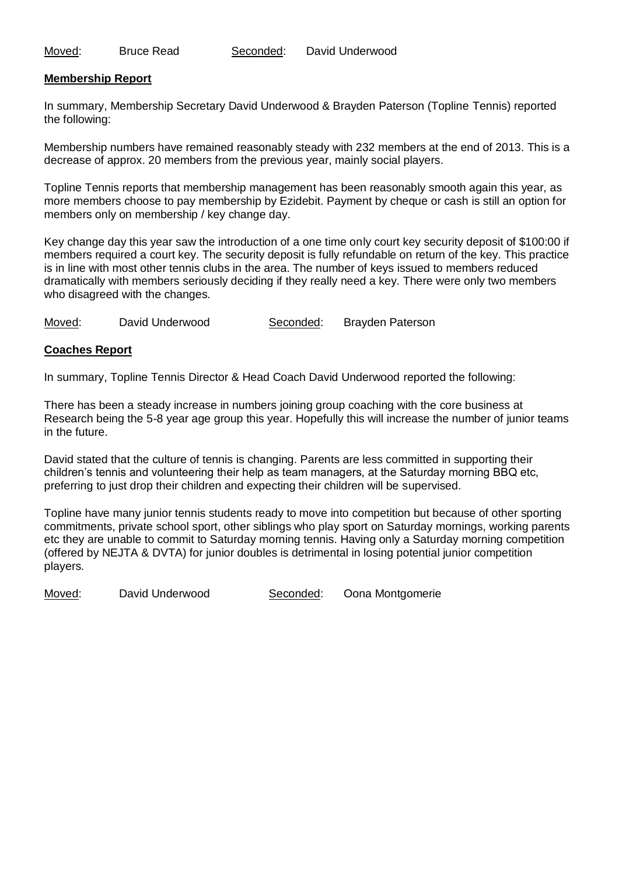#### **Membership Report**

In summary, Membership Secretary David Underwood & Brayden Paterson (Topline Tennis) reported the following:

Membership numbers have remained reasonably steady with 232 members at the end of 2013. This is a decrease of approx. 20 members from the previous year, mainly social players.

Topline Tennis reports that membership management has been reasonably smooth again this year, as more members choose to pay membership by Ezidebit. Payment by cheque or cash is still an option for members only on membership / key change day.

Key change day this year saw the introduction of a one time only court key security deposit of \$100:00 if members required a court key. The security deposit is fully refundable on return of the key. This practice is in line with most other tennis clubs in the area. The number of keys issued to members reduced dramatically with members seriously deciding if they really need a key. There were only two members who disagreed with the changes.

Moved: David Underwood Seconded: Brayden Paterson

### **Coaches Report**

In summary, Topline Tennis Director & Head Coach David Underwood reported the following:

There has been a steady increase in numbers joining group coaching with the core business at Research being the 5-8 year age group this year. Hopefully this will increase the number of junior teams in the future.

David stated that the culture of tennis is changing. Parents are less committed in supporting their children's tennis and volunteering their help as team managers, at the Saturday morning BBQ etc, preferring to just drop their children and expecting their children will be supervised.

Topline have many junior tennis students ready to move into competition but because of other sporting commitments, private school sport, other siblings who play sport on Saturday mornings, working parents etc they are unable to commit to Saturday morning tennis. Having only a Saturday morning competition (offered by NEJTA & DVTA) for junior doubles is detrimental in losing potential junior competition players.

Moved: David Underwood Seconded: Oona Montgomerie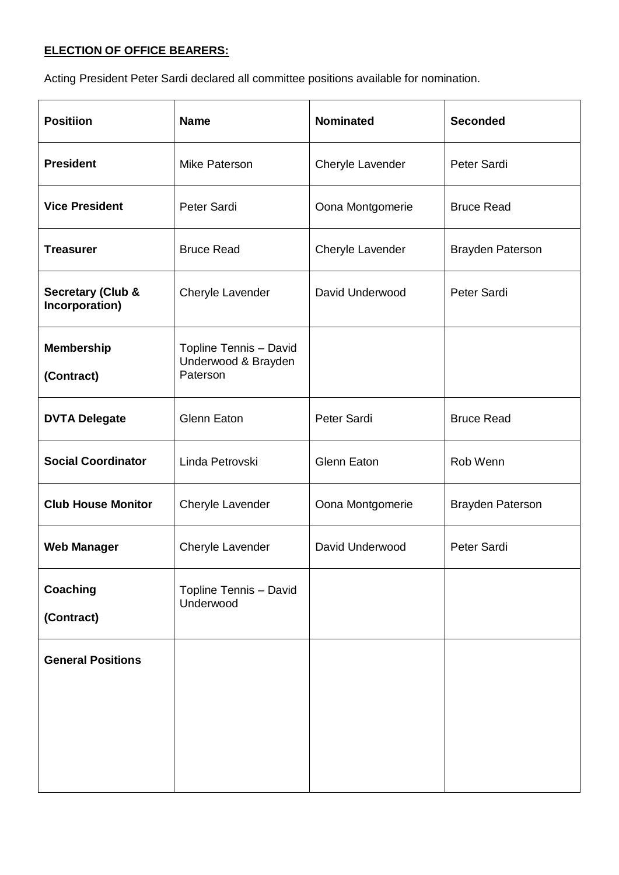## **ELECTION OF OFFICE BEARERS:**

Acting President Peter Sardi declared all committee positions available for nomination.

| <b>Positiion</b>                               | <b>Name</b>                                               | <b>Nominated</b>   | <b>Seconded</b>         |
|------------------------------------------------|-----------------------------------------------------------|--------------------|-------------------------|
| <b>President</b>                               | Mike Paterson                                             | Cheryle Lavender   | Peter Sardi             |
| <b>Vice President</b>                          | Peter Sardi                                               | Oona Montgomerie   | <b>Bruce Read</b>       |
| <b>Treasurer</b>                               | <b>Bruce Read</b>                                         | Cheryle Lavender   | <b>Brayden Paterson</b> |
| <b>Secretary (Club &amp;</b><br>Incorporation) | Cheryle Lavender                                          | David Underwood    | Peter Sardi             |
| <b>Membership</b><br>(Contract)                | Topline Tennis - David<br>Underwood & Brayden<br>Paterson |                    |                         |
| <b>DVTA Delegate</b>                           | <b>Glenn Eaton</b>                                        | Peter Sardi        | <b>Bruce Read</b>       |
| <b>Social Coordinator</b>                      | Linda Petrovski                                           | <b>Glenn Eaton</b> | Rob Wenn                |
| <b>Club House Monitor</b>                      | Cheryle Lavender                                          | Oona Montgomerie   | Brayden Paterson        |
| <b>Web Manager</b>                             | Cheryle Lavender                                          | David Underwood    | Peter Sardi             |
| <b>Coaching</b><br>(Contract)                  | Topline Tennis - David<br>Underwood                       |                    |                         |
| <b>General Positions</b>                       |                                                           |                    |                         |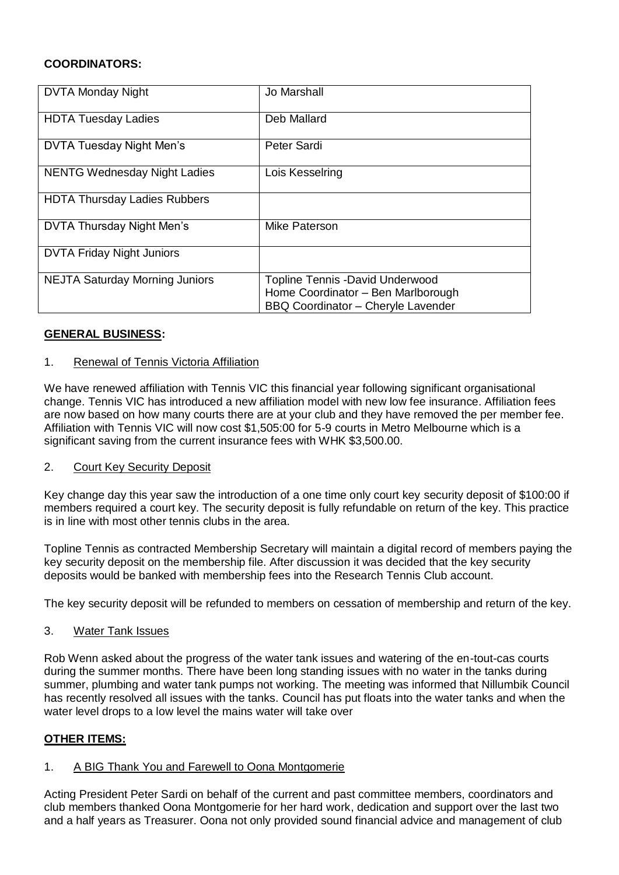### **COORDINATORS:**

| <b>DVTA Monday Night</b>              | Jo Marshall                                                                                                               |
|---------------------------------------|---------------------------------------------------------------------------------------------------------------------------|
| <b>HDTA Tuesday Ladies</b>            | Deb Mallard                                                                                                               |
| <b>DVTA Tuesday Night Men's</b>       | Peter Sardi                                                                                                               |
| <b>NENTG Wednesday Night Ladies</b>   | Lois Kesselring                                                                                                           |
| <b>HDTA Thursday Ladies Rubbers</b>   |                                                                                                                           |
| DVTA Thursday Night Men's             | Mike Paterson                                                                                                             |
| <b>DVTA Friday Night Juniors</b>      |                                                                                                                           |
| <b>NEJTA Saturday Morning Juniors</b> | <b>Topline Tennis -David Underwood</b><br>Home Coordinator - Ben Marlborough<br><b>BBQ Coordinator - Cheryle Lavender</b> |

### **GENERAL BUSINESS:**

#### 1. Renewal of Tennis Victoria Affiliation

We have renewed affiliation with Tennis VIC this financial year following significant organisational change. Tennis VIC has introduced a new affiliation model with new low fee insurance. Affiliation fees are now based on how many courts there are at your club and they have removed the per member fee. Affiliation with Tennis VIC will now cost \$1,505:00 for 5-9 courts in Metro Melbourne which is a significant saving from the current insurance fees with WHK \$3,500.00.

#### 2. Court Key Security Deposit

Key change day this year saw the introduction of a one time only court key security deposit of \$100:00 if members required a court key. The security deposit is fully refundable on return of the key. This practice is in line with most other tennis clubs in the area.

Topline Tennis as contracted Membership Secretary will maintain a digital record of members paying the key security deposit on the membership file. After discussion it was decided that the key security deposits would be banked with membership fees into the Research Tennis Club account.

The key security deposit will be refunded to members on cessation of membership and return of the key.

#### 3. Water Tank Issues

Rob Wenn asked about the progress of the water tank issues and watering of the en-tout-cas courts during the summer months. There have been long standing issues with no water in the tanks during summer, plumbing and water tank pumps not working. The meeting was informed that Nillumbik Council has recently resolved all issues with the tanks. Council has put floats into the water tanks and when the water level drops to a low level the mains water will take over

#### **OTHER ITEMS:**

#### 1. A BIG Thank You and Farewell to Oona Montgomerie

Acting President Peter Sardi on behalf of the current and past committee members, coordinators and club members thanked Oona Montgomerie for her hard work, dedication and support over the last two and a half years as Treasurer. Oona not only provided sound financial advice and management of club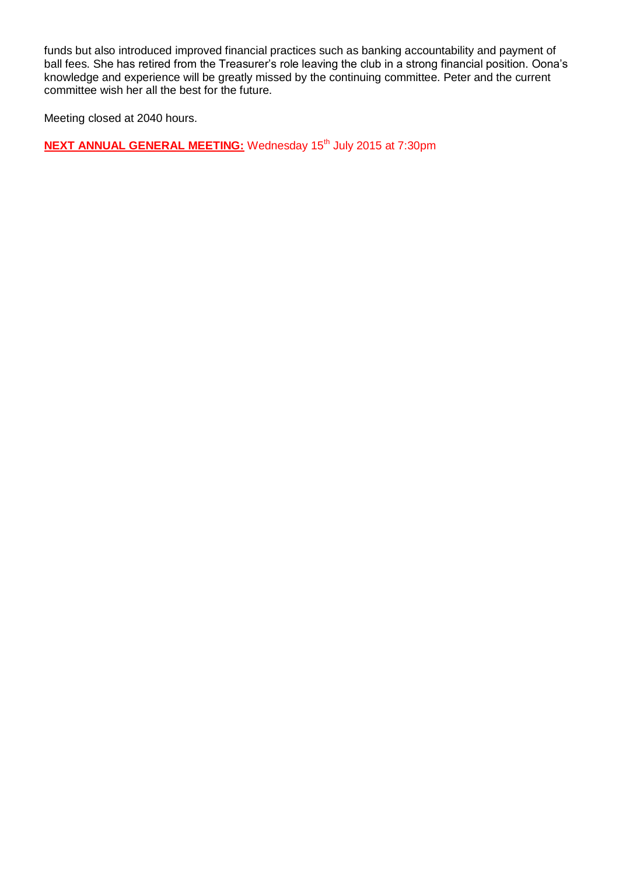funds but also introduced improved financial practices such as banking accountability and payment of ball fees. She has retired from the Treasurer's role leaving the club in a strong financial position. Oona's knowledge and experience will be greatly missed by the continuing committee. Peter and the current committee wish her all the best for the future.

Meeting closed at 2040 hours.

**NEXT ANNUAL GENERAL MEETING:** Wednesday 15<sup>th</sup> July 2015 at 7:30pm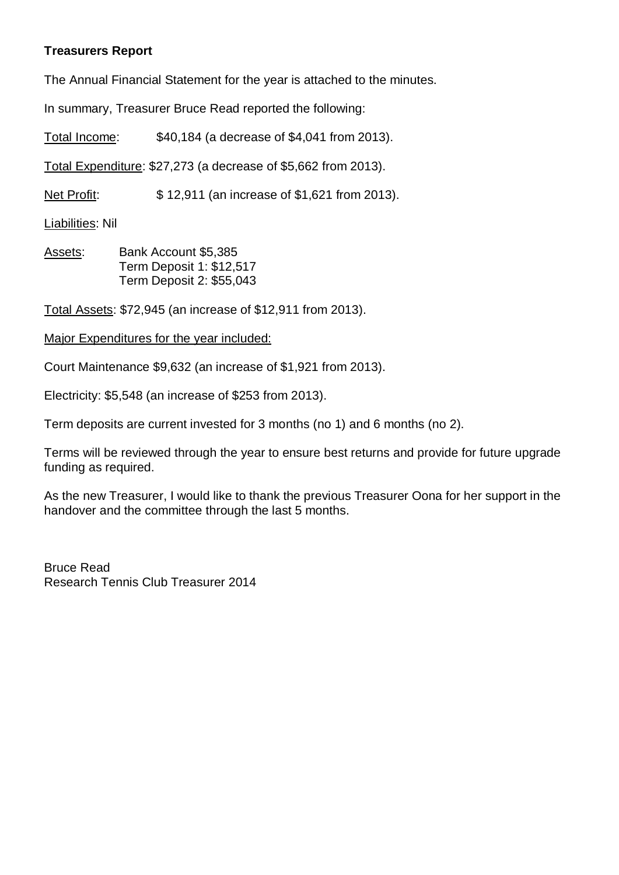# **Treasurers Report**

The Annual Financial Statement for the year is attached to the minutes.

In summary, Treasurer Bruce Read reported the following:

Total Income: \$40,184 (a decrease of \$4,041 from 2013).

Total Expenditure: \$27,273 (a decrease of \$5,662 from 2013).

Net Profit: \$12,911 (an increase of \$1,621 from 2013).

Liabilities: Nil

Assets: Bank Account \$5,385 Term Deposit 1: \$12,517 Term Deposit 2: \$55,043

Total Assets: \$72,945 (an increase of \$12,911 from 2013).

Major Expenditures for the year included:

Court Maintenance \$9,632 (an increase of \$1,921 from 2013).

Electricity: \$5,548 (an increase of \$253 from 2013).

Term deposits are current invested for 3 months (no 1) and 6 months (no 2).

Terms will be reviewed through the year to ensure best returns and provide for future upgrade funding as required.

As the new Treasurer, I would like to thank the previous Treasurer Oona for her support in the handover and the committee through the last 5 months.

Bruce Read Research Tennis Club Treasurer 2014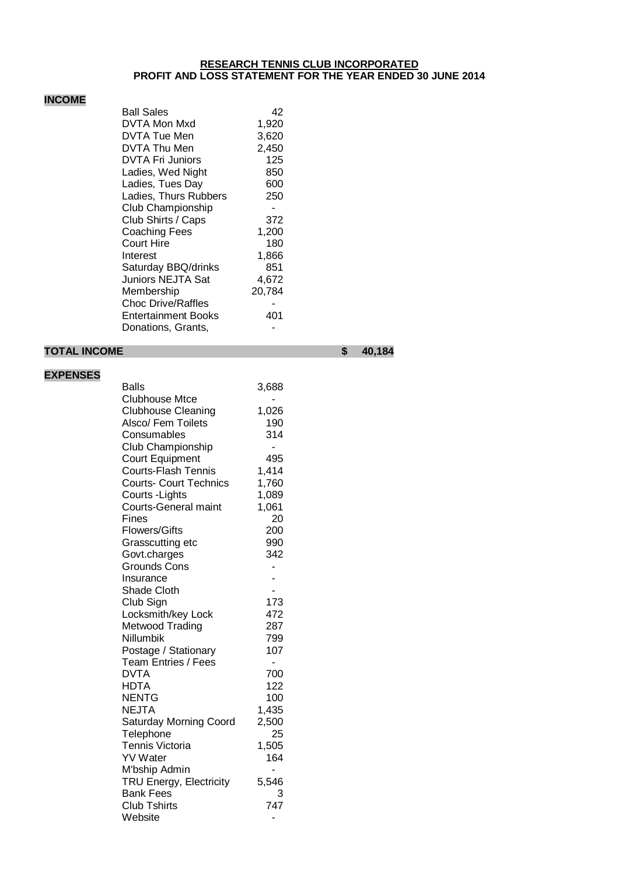#### **RESEARCH TENNIS CLUB INCORPORATED PROFIT AND LOSS STATEMENT FOR THE YEAR ENDED 30 JUNE 2014**

# **INCOME**

| <b>Ball Sales</b>          | 42     |
|----------------------------|--------|
| DVTA Mon Mxd               | 1,920  |
| <b>DVTA Tue Men</b>        | 3,620  |
| DVTA Thu Men               | 2,450  |
| DVTA Fri Juniors           | 125    |
| Ladies, Wed Night          | 850    |
| Ladies, Tues Day           | 600    |
| Ladies, Thurs Rubbers      | 250    |
| Club Championship          |        |
| Club Shirts / Caps         | 372    |
| Coaching Fees              | 1,200  |
| Court Hire                 | 180    |
| Interest                   | 1,866  |
| Saturday BBQ/drinks        | 851    |
| <b>Juniors NEJTA Sat</b>   | 4,672  |
| Membership                 | 20,784 |
| <b>Choc Drive/Raffles</b>  |        |
| <b>Entertainment Books</b> | 401    |
| Donations, Grants,         |        |
|                            |        |

#### **TOTAL INCOME \$ 40,184**

## **EXPENSES**

| <b>Balls</b>                  | 3,688 |  |
|-------------------------------|-------|--|
| <b>Clubhouse Mtce</b>         |       |  |
| <b>Clubhouse Cleaning</b>     | 1,026 |  |
| Alsco/ Fem Toilets            | 190   |  |
| Consumables                   | 314   |  |
| Club Championship             |       |  |
| <b>Court Equipment</b>        | 495   |  |
| <b>Courts-Flash Tennis</b>    | 1,414 |  |
| <b>Courts- Court Technics</b> | 1,760 |  |
| Courts - Lights               | 1,089 |  |
| Courts-General maint          | 1,061 |  |
| Fines                         | 20    |  |
| <b>Flowers/Gifts</b>          | 200   |  |
| Grasscutting etc              | 990   |  |
| Govt.charges                  | 342   |  |
| <b>Grounds Cons</b>           |       |  |
| Insurance                     |       |  |
| Shade Cloth                   |       |  |
| Club Sign                     | 173   |  |
| Locksmith/key Lock            | 472   |  |
| Metwood Trading               | 287   |  |
| Nillumbik                     | 799   |  |
| Postage / Stationary          | 107   |  |
| Team Entries / Fees           | ÷,    |  |
| <b>DVTA</b>                   | 700   |  |
| HDTA                          | 122   |  |
| <b>NENTG</b>                  | 100   |  |
| <b>NEJTA</b>                  | 1,435 |  |
| <b>Saturday Morning Coord</b> | 2,500 |  |
| Telephone                     | 25    |  |
| Tennis Victoria               | 1,505 |  |
| <b>YV Water</b>               | 164   |  |
| M'bship Admin                 |       |  |
| TRU Energy, Electricity       | 5,546 |  |
| <b>Bank Fees</b>              | 3     |  |
| <b>Club Tshirts</b>           | 747   |  |
| Website                       |       |  |